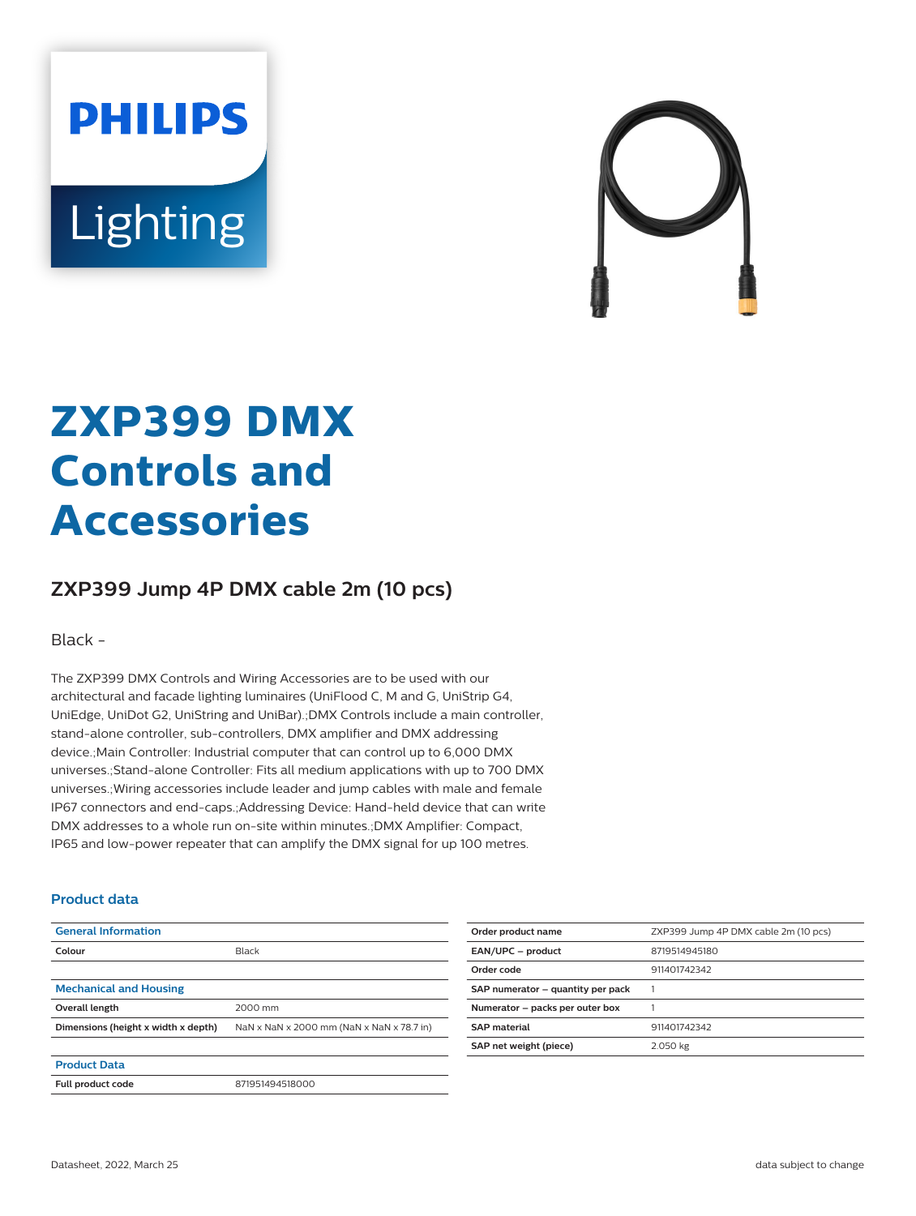# **PHILIPS** Lighting



# **ZXP399 DMX Controls and Accessories**

## **ZXP399 Jump 4P DMX cable 2m (10 pcs)**

Black -

The ZXP399 DMX Controls and Wiring Accessories are to be used with our architectural and facade lighting luminaires (UniFlood C, M and G, UniStrip G4, UniEdge, UniDot G2, UniString and UniBar).;DMX Controls include a main controller, stand-alone controller, sub-controllers, DMX amplifier and DMX addressing device.;Main Controller: Industrial computer that can control up to 6,000 DMX universes.;Stand-alone Controller: Fits all medium applications with up to 700 DMX universes.;Wiring accessories include leader and jump cables with male and female IP67 connectors and end-caps.;Addressing Device: Hand-held device that can write DMX addresses to a whole run on-site within minutes.;DMX Amplifier: Compact, IP65 and low-power repeater that can amplify the DMX signal for up 100 metres.

#### **Product data**

| <b>General Information</b>          |                                           |
|-------------------------------------|-------------------------------------------|
| Colour                              | Black                                     |
|                                     |                                           |
| <b>Mechanical and Housing</b>       |                                           |
| Overall length                      | 2000 mm                                   |
| Dimensions (height x width x depth) | NaN x NaN x 2000 mm (NaN x NaN x 78.7 in) |
|                                     |                                           |
| <b>Product Data</b>                 |                                           |
| Full product code                   | 871951494518000                           |

| Order product name                | ZXP399 Jump 4P DMX cable 2m (10 pcs) |
|-----------------------------------|--------------------------------------|
| EAN/UPC - product                 | 8719514945180                        |
| Order code                        | 911401742342                         |
| SAP numerator - quantity per pack |                                      |
| Numerator - packs per outer box   |                                      |
| <b>SAP</b> material               | 911401742342                         |
| SAP net weight (piece)            | 2.050 kg                             |